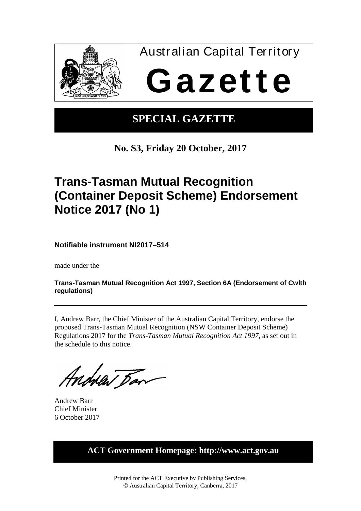

## **SPECIAL GAZETTE**

**No. S3, Friday 20 October, 2017**

# **Trans-Tasman Mutual Recognition (Container Deposit Scheme) Endorsement Notice 2017 (No 1)**

**Notifiable instrument NI2017–514**

made under the

**Trans-Tasman Mutual Recognition Act 1997, Section 6A (Endorsement of Cwlth regulations)** 

I, Andrew Barr, the Chief Minister of the Australian Capital Territory, endorse the proposed Trans-Tasman Mutual Recognition (NSW Container Deposit Scheme) Regulations 2017 for the *Trans-Tasman Mutual Recognition Act 1997*, as set out in the schedule to this notice.

Andrea Dan

Andrew Barr Chief Minister 6 October 2017

**ACT Government Homepage: http://www.act.gov.au**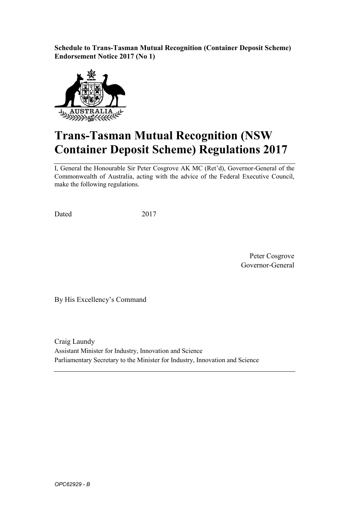**Schedule to Trans-Tasman Mutual Recognition (Container Deposit Scheme) Endorsement Notice 2017 (No 1)**



# **Trans-Tasman Mutual Recognition (NSW Container Deposit Scheme) Regulations 2017**

I, General the Honourable Sir Peter Cosgrove AK MC (Ret'd), Governor-General of the Commonwealth of Australia, acting with the advice of the Federal Executive Council, make the following regulations.

Dated 2017

Peter Cosgrove Governor-General

By His Excellency's Command

Craig Laundy Assistant Minister for Industry, Innovation and Science Parliamentary Secretary to the Minister for Industry, Innovation and Science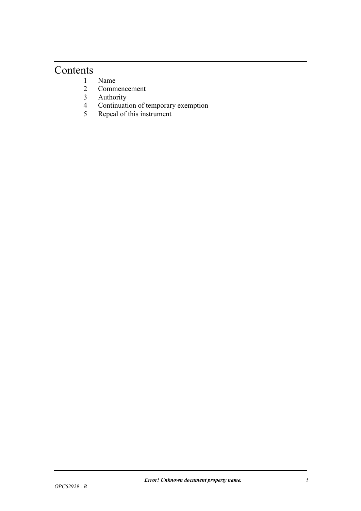### **Contents**

- 1 Name<br>2 Comm
- 2 Commencement<br>3 Authority
- 3 Authority<br>4 Continuati
- 4 Continuation of temporary exemption<br>5 Repeal of this instrument
- Repeal of this instrument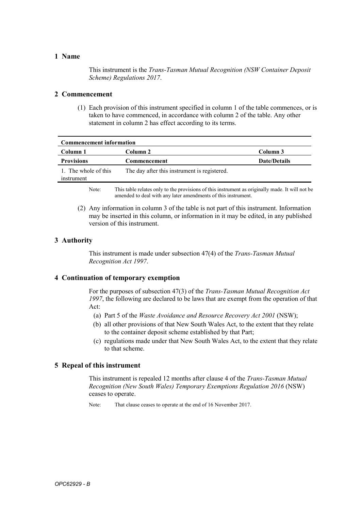#### **1 Name**

This instrument is the *Trans-Tasman Mutual Recognition (NSW Container Deposit Scheme) Regulations 2017*.

#### **2 Commencement**

(1) Each provision of this instrument specified in column 1 of the table commences, or is taken to have commenced, in accordance with column 2 of the table. Any other statement in column 2 has effect according to its terms.

| <b>Commencement information</b>    |                                              |                     |  |
|------------------------------------|----------------------------------------------|---------------------|--|
| Column 1                           | Column 2                                     | Column 3            |  |
| <b>Provisions</b>                  | Commencement                                 | <b>Date/Details</b> |  |
| 1. The whole of this<br>instrument | The day after this instrument is registered. |                     |  |

Note: This table relates only to the provisions of this instrument as originally made. It will not be amended to deal with any later amendments of this instrument.

(2) Any information in column 3 of the table is not part of this instrument. Information may be inserted in this column, or information in it may be edited, in any published version of this instrument.

#### **3 Authority**

This instrument is made under subsection 47(4) of the *Trans-Tasman Mutual Recognition Act 1997*.

#### **4 Continuation of temporary exemption**

For the purposes of subsection 47(3) of the *Trans-Tasman Mutual Recognition Act 1997*, the following are declared to be laws that are exempt from the operation of that Act:

- (a) Part 5 of the *Waste Avoidance and Resource Recovery Act 2001* (NSW);
- (b) all other provisions of that New South Wales Act, to the extent that they relate to the container deposit scheme established by that Part;
- (c) regulations made under that New South Wales Act, to the extent that they relate to that scheme.

#### **5 Repeal of this instrument**

This instrument is repealed 12 months after clause 4 of the *Trans-Tasman Mutual Recognition (New South Wales) Temporary Exemptions Regulation 2016* (NSW) ceases to operate.

Note: That clause ceases to operate at the end of 16 November 2017.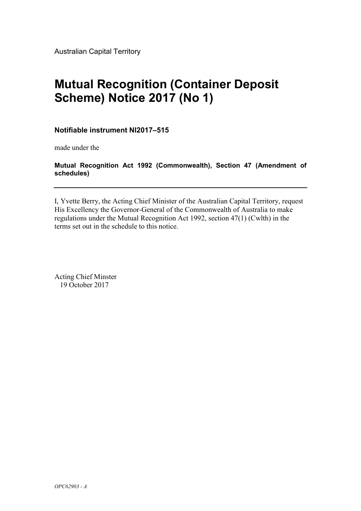Australian Capital Territory

# **Mutual Recognition (Container Deposit Scheme) Notice 2017 (No 1)**

**Notifiable instrument NI2017–515**

made under the

### **Mutual Recognition Act 1992 (Commonwealth), Section 47 (Amendment of schedules)**

I, Yvette Berry, the Acting Chief Minister of the Australian Capital Territory, request His Excellency the Governor-General of the Commonwealth of Australia to make regulations under the Mutual Recognition Act 1992, section 47(1) (Cwlth) in the terms set out in the schedule to this notice.

Acting Chief Minster 19 October 2017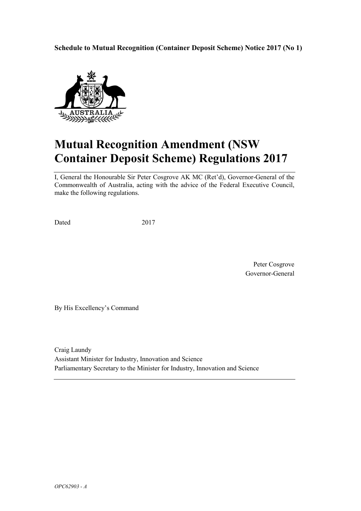**Schedule to Mutual Recognition (Container Deposit Scheme) Notice 2017 (No 1)**



# **Mutual Recognition Amendment (NSW Container Deposit Scheme) Regulations 2017**

I, General the Honourable Sir Peter Cosgrove AK MC (Ret'd), Governor-General of the Commonwealth of Australia, acting with the advice of the Federal Executive Council, make the following regulations.

Dated 2017

Peter Cosgrove Governor-General

By His Excellency's Command

Craig Laundy Assistant Minister for Industry, Innovation and Science Parliamentary Secretary to the Minister for Industry, Innovation and Science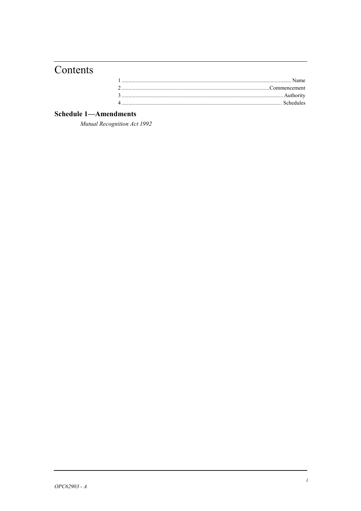## Contents

### **Schedule 1-Amendments**

Mutual Recognition Act 1992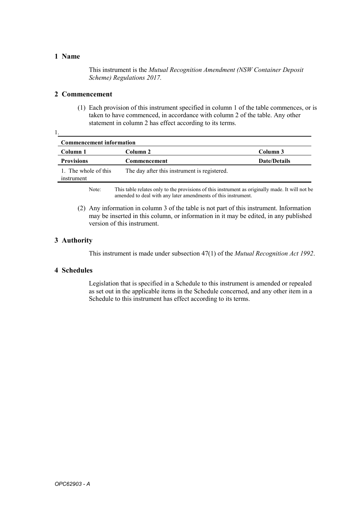### **1 Name**

1.

This instrument is the *Mutual Recognition Amendment (NSW Container Deposit Scheme) Regulations 2017.*

### **2 Commencement**

(1) Each provision of this instrument specified in column 1 of the table commences, or is taken to have commenced, in accordance with column 2 of the table. Any other statement in column 2 has effect according to its terms.

| <b>Commencement information</b>    |                                              |                     |  |
|------------------------------------|----------------------------------------------|---------------------|--|
| Column 1                           | Column 2                                     | Column 3            |  |
| <b>Provisions</b>                  | Commencement                                 | <b>Date/Details</b> |  |
| 1. The whole of this<br>instrument | The day after this instrument is registered. |                     |  |

Note: This table relates only to the provisions of this instrument as originally made. It will not be amended to deal with any later amendments of this instrument.

(2) Any information in column 3 of the table is not part of this instrument. Information may be inserted in this column, or information in it may be edited, in any published version of this instrument.

### **3 Authority**

This instrument is made under subsection 47(1) of the *Mutual Recognition Act 1992*.

### **4 Schedules**

Legislation that is specified in a Schedule to this instrument is amended or repealed as set out in the applicable items in the Schedule concerned, and any other item in a Schedule to this instrument has effect according to its terms.